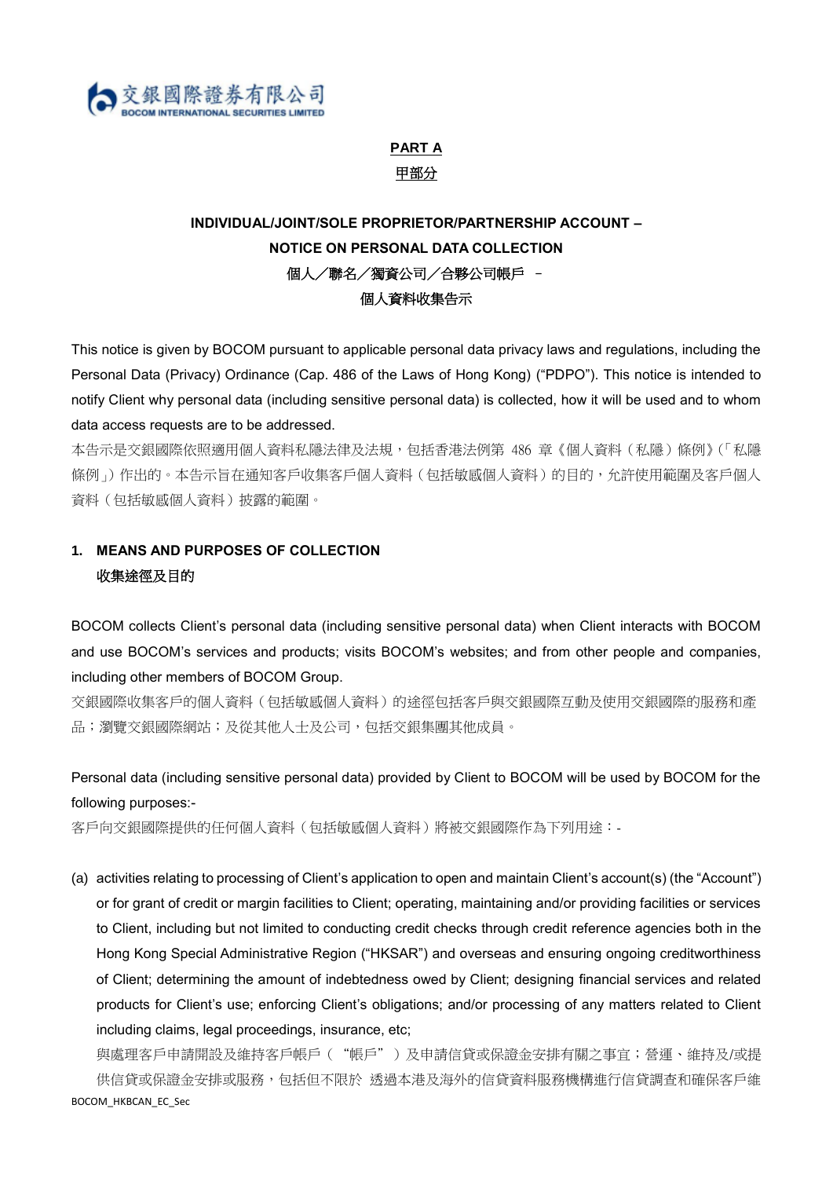

# **PART A** 甲部分

# **INDIVIDUAL/JOINT/SOLE PROPRIETOR/PARTNERSHIP ACCOUNT – NOTICE ON PERSONAL DATA COLLECTION** 個人/聯名/獨資公司/合夥公司帳戶 – 個人資料收集告示

This notice is given by BOCOM pursuant to applicable personal data privacy laws and regulations, including the Personal Data (Privacy) Ordinance (Cap. 486 of the Laws of Hong Kong) ("PDPO"). This notice is intended to notify Client why personal data (including sensitive personal data) is collected, how it will be used and to whom data access requests are to be addressed.

本告示是交銀國際依照適用個人資料私隱法律及法規,包括香港法例第 486 章《個人資料(私隱)條例》(「私隱 條例 i)作出的。本告示旨在通知客戶收集客戶個人資料(包括敏感個人資料)的目的,允許使用範圍及客戶個人 資料(包括敏感個人資料)披露的範圍。

## **1. MEANS AND PURPOSES OF COLLECTION** 收集涂徑及目的

BOCOM collects Client's personal data (including sensitive personal data) when Client interacts with BOCOM and use BOCOM's services and products; visits BOCOM's websites; and from other people and companies, including other members of BOCOM Group.

交銀國際收集客戶的個人資料(包括敏感個人資料)的途徑包括客戶與交銀國際互動及使用交銀國際的服務和產 品;瀏覽交銀國際網站;及從其他人士及公司,包括交銀集團其他成員。

Personal data (including sensitive personal data) provided by Client to BOCOM will be used by BOCOM for the following purposes:-

客戶向交銀國際提供的任何個人資料(包括敏感個人資料)將被交銀國際作為下列用途:-

(a) activities relating to processing of Client's application to open and maintain Client's account(s) (the "Account") or for grant of credit or margin facilities to Client; operating, maintaining and/or providing facilities or services to Client, including but not limited to conducting credit checks through credit reference agencies both in the Hong Kong Special Administrative Region ("HKSAR") and overseas and ensuring ongoing creditworthiness of Client; determining the amount of indebtedness owed by Client; designing financial services and related products for Client's use; enforcing Client's obligations; and/or processing of any matters related to Client including claims, legal proceedings, insurance, etc;

BOCOM\_HKBCAN\_EC\_Sec 與處理客戶申請開設及維持客戶帳戶("帳戶")及申請信貸或保證金安排有關之事宜;營運、維持及/或提 供信貸或保證金安排或服務,包括但不限於 透過本港及海外的信貸資料服務機構進行信貸調查和確保客戶維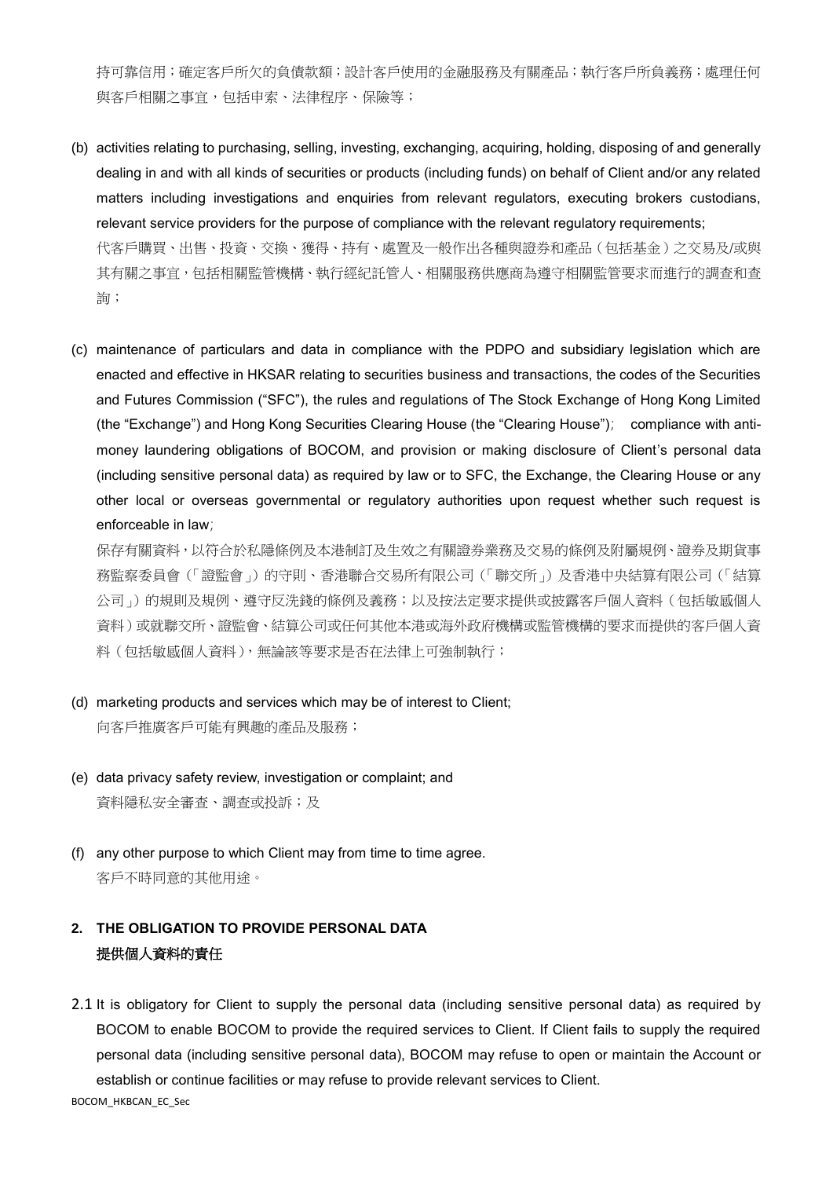持可靠信用;確定客戶所欠的負債款額;設計客戶使用的金融服務及有關產品;執行客戶所負義務;處理任何 與客戶相關之事宜,包括申索、法律程序、保險等;

- (b) activities relating to purchasing, selling, investing, exchanging, acquiring, holding, disposing of and generally dealing in and with all kinds of securities or products (including funds) on behalf of Client and/or any related matters including investigations and enquiries from relevant regulators, executing brokers custodians, relevant service providers for the purpose of compliance with the relevant regulatory requirements; 代客戶購買、出售、投資、交換、獲得、持有、處置及一般作出各種與證券和產品(包括基金)之交易及/或與 其有關之事宜,包括相關監管機構、執行經紀託管人、相關服務供應商為遵守相關監管要求而進行的調查和查 詢;
- (c) maintenance of particulars and data in compliance with the PDPO and subsidiary legislation which are enacted and effective in HKSAR relating to securities business and transactions, the codes of the Securities and Futures Commission ("SFC"), the rules and regulations of The Stock Exchange of Hong Kong Limited (the "Exchange") and Hong Kong Securities Clearing House (the "Clearing House"); compliance with antimoney laundering obligations of BOCOM, and provision or making disclosure of Client's personal data (including sensitive personal data) as required by law or to SFC, the Exchange, the Clearing House or any other local or overseas governmental or regulatory authorities upon request whether such request is enforceable in law;

保存有關資料,以符合於私隱條例及本港制訂及生效之有關證券業務及交易的條例及附屬規例、證券及期貨事 務監察委員會(「證監會」)的守則、香港聯合交易所有限公司(「聯交所」)及香港中央結算有限公司(「結算 公司」)的規則及規例、遵守反洗錢的條例及義務;以及按法定要求提供或披露客戶個人資料(包括敏感個人 資料)或就聯交所、證監會、結算公司或任何其他本港或海外政府機構或監管機構的要求而提供的客戶個人資 料(包括敏感個人資料),無論該等要求是否在法律上可強制執行;

- (d) marketing products and services which may be of interest to Client; 向客戶推廣客戶可能有興趣的產品及服務;
- (e) data privacy safety review, investigation or complaint; and 資料隱私安全審查、調查或投訴;及
- (f) any other purpose to which Client may from time to time agree. 客戶不時同意的其他用途。

### **2. THE OBLIGATION TO PROVIDE PERSONAL DATA**  提供個人資料的責任

2.1 It is obligatory for Client to supply the personal data (including sensitive personal data) as required by BOCOM to enable BOCOM to provide the required services to Client. If Client fails to supply the required personal data (including sensitive personal data), BOCOM may refuse to open or maintain the Account or establish or continue facilities or may refuse to provide relevant services to Client.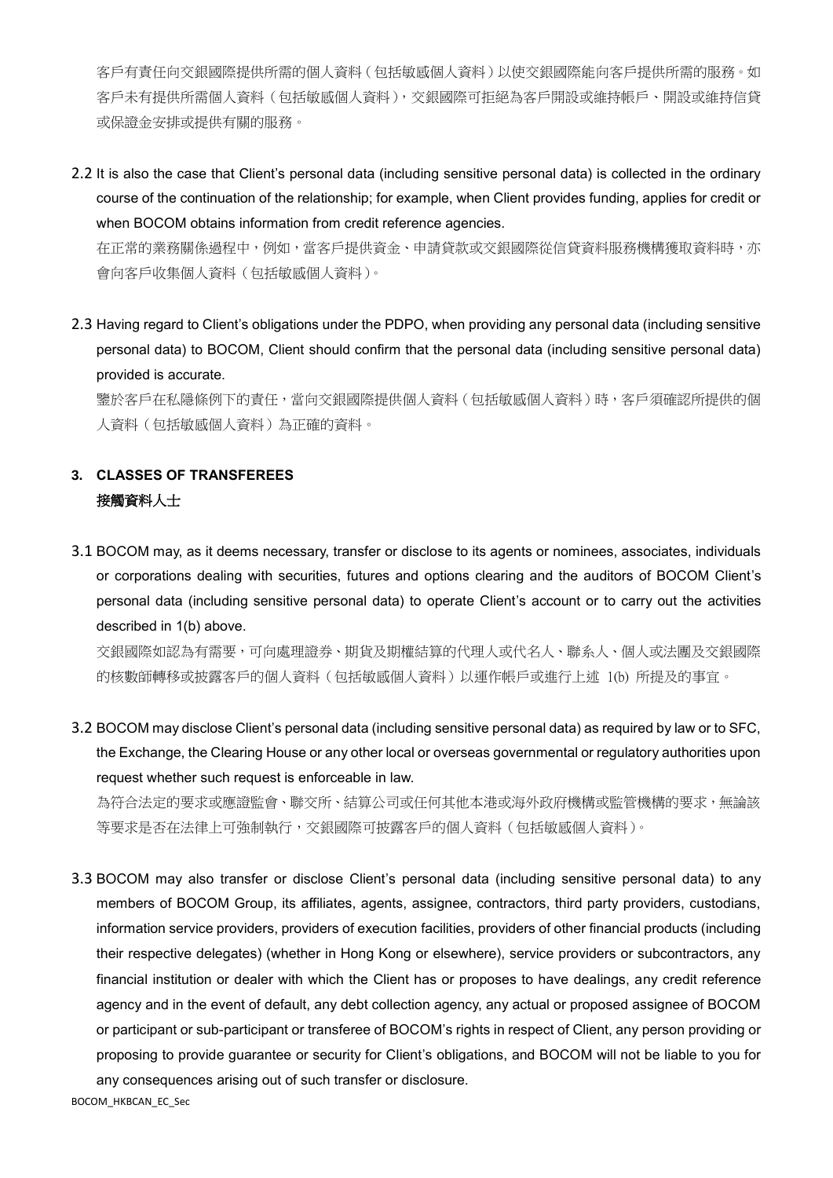客戶有責任向交銀國際提供所需的個人資料(包括敏感個人資料)以使交銀國際能向客戶提供所需的服務。如 客戶未有提供所需個人資料(包括敏感個人資料),交銀國際可拒絕為客戶開設或維持帳戶、開設或維持信貸 或保證金安排或提供有關的服務。

2.2 It is also the case that Client's personal data (including sensitive personal data) is collected in the ordinary course of the continuation of the relationship; for example, when Client provides funding, applies for credit or when BOCOM obtains information from credit reference agencies.

在正常的業務關係過程中,例如,當客戶提供資金、申請貸款或交銀國際從信貸資料服務機構獲取資料時,亦 會向客戶收集個人資料(包括敏感個人資料)。

2.3 Having regard to Client's obligations under the PDPO, when providing any personal data (including sensitive personal data) to BOCOM, Client should confirm that the personal data (including sensitive personal data) provided is accurate.

鑒於客戶在私隱條例下的責任,當向交銀國際提供個人資料(包括敏感個人資料)時,客戶須確認所提供的個 人資料(包括敏感個人資料)為正確的資料。

### **3. CLASSES OF TRANSFEREES**  接觸資料人士

3.1 BOCOM may, as it deems necessary, transfer or disclose to its agents or nominees, associates, individuals or corporations dealing with securities, futures and options clearing and the auditors of BOCOM Client's personal data (including sensitive personal data) to operate Client's account or to carry out the activities described in 1(b) above.

交銀國際如認為有需要,可向處理證券、期貨及期權結算的代理人或代名人、聯系人、個人或法團及交銀國際 的核數師轉移或披露客戶的個人資料(包括敏感個人資料)以運作帳戶或進行上述 1(b) 所提及的事宜。

3.2 BOCOM may disclose Client's personal data (including sensitive personal data) as required by law or to SFC, the Exchange, the Clearing House or any other local or overseas governmental or regulatory authorities upon request whether such request is enforceable in law.

為符合法定的要求或應證監會、聯交所、結算公司或任何其他本港或海外政府機構或監管機構的要求,無論該 等要求是否在法律上可強制執行,交銀國際可披露客戶的個人資料(包括敏感個人資料)。

3.3 BOCOM may also transfer or disclose Client's personal data (including sensitive personal data) to any members of BOCOM Group, its affiliates, agents, assignee, contractors, third party providers, custodians, information service providers, providers of execution facilities, providers of other financial products (including their respective delegates) (whether in Hong Kong or elsewhere), service providers or subcontractors, any financial institution or dealer with which the Client has or proposes to have dealings, any credit reference agency and in the event of default, any debt collection agency, any actual or proposed assignee of BOCOM or participant or sub-participant or transferee of BOCOM's rights in respect of Client, any person providing or proposing to provide guarantee or security for Client's obligations, and BOCOM will not be liable to you for any consequences arising out of such transfer or disclosure.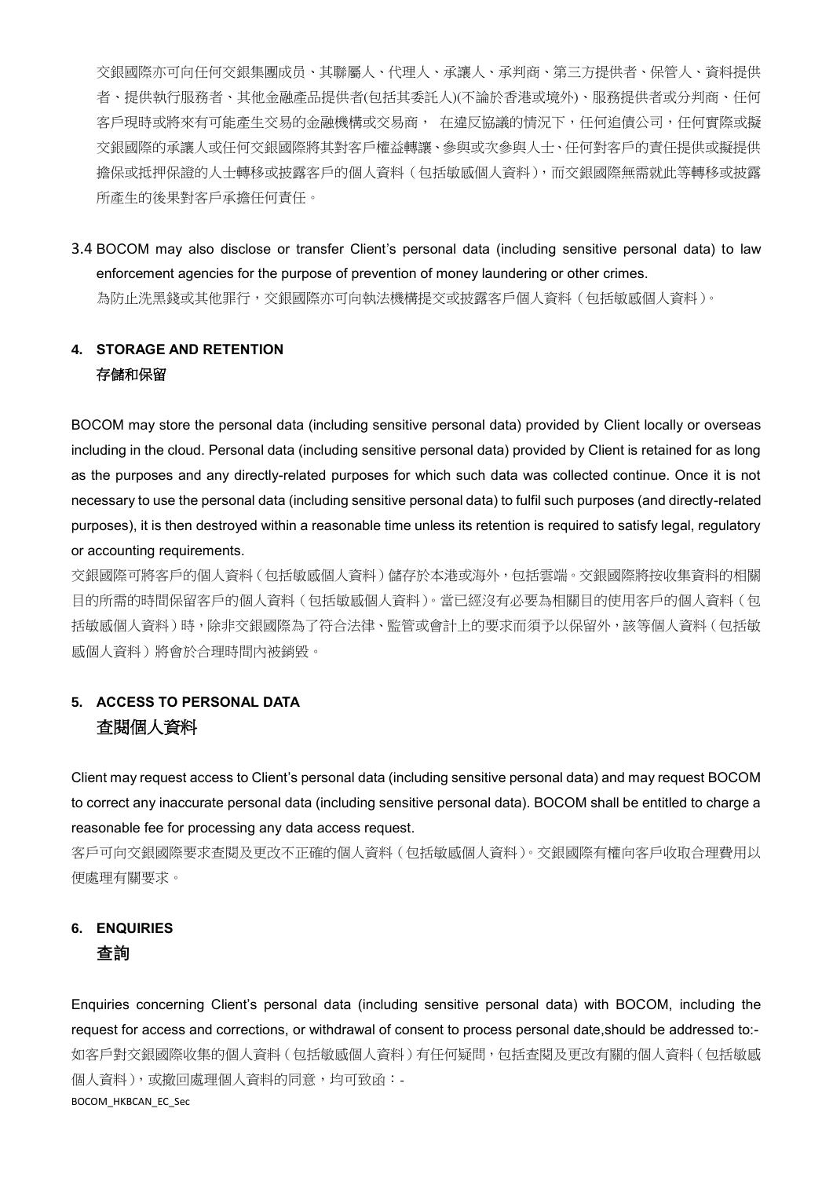交銀國際亦可向任何交銀集團成员、其聯屬人、代理人、承讓人、承判商、第三方提供者、保管人、資料提供 者、提供執行服務者、其他金融產品提供者(包括其委託人)(不論於香港或境外)、服務提供者或分判商、任何 客戶現時或將來有可能產生交易的金融機構或交易商, 在違反協議的情況下,任何追債公司,任何實際或擬 交銀國際的承讓人或任何交銀國際將其對客戶權益轉讓、參與或次參與人士、任何對客戶的責任提供或擬提供 擔保或抵押保證的人士轉移或披露客戶的個人資料(包括敏感個人資料),而交銀國際無需就此等轉移或披露 所產生的後果對客戶承擔任何責任。

3.4 BOCOM may also disclose or transfer Client's personal data (including sensitive personal data) to law enforcement agencies for the purpose of prevention of money laundering or other crimes. 為防止洗黑錢或其他罪行,交銀國際亦可向執法機構提交或披露客戶個人資料(包括敏感個人資料)。

## **4. STORAGE AND RETENTION** 存儲和保留

BOCOM may store the personal data (including sensitive personal data) provided by Client locally or overseas including in the cloud. Personal data (including sensitive personal data) provided by Client is retained for as long as the purposes and any directly-related purposes for which such data was collected continue. Once it is not necessary to use the personal data (including sensitive personal data) to fulfil such purposes (and directly-related purposes), it is then destroyed within a reasonable time unless its retention is required to satisfy legal, regulatory or accounting requirements.

交銀國際可將客戶的個人資料(包括敏感個人資料)儲存於本港或海外,包括雲端。交銀國際將按收集資料的相關 目的所需的時間保留客戶的個人資料(包括敏感個人資料)。當已經沒有必要為相關目的使用客戶的個人資料(包 括敏感個人資料)時,除非交銀國際為了符合法律、監管或會計上的要求而須予以保留外,該等個人資料(包括敏 感個人資料)將會於合理時間內被銷毀。

# **5. ACCESS TO PERSONAL DATA**  查閱個人資料

Client may request access to Client's personal data (including sensitive personal data) and may request BOCOM to correct any inaccurate personal data (including sensitive personal data). BOCOM shall be entitled to charge a reasonable fee for processing any data access request.

客戶可向交銀國際要求查閱及更改不正確的個人資料(包括敏感個人資料)。交銀國際有權向客戶收取合理費用以 便處理有關要求。

### **6. ENQUIRIES 查詢**

BOCOM\_HKBCAN\_EC\_Sec Enquiries concerning Client's personal data (including sensitive personal data) with BOCOM, including the request for access and corrections, or withdrawal of consent to process personal date,should be addressed to:- 如客戶對交銀國際收集的個人資料(包括敏感個人資料)有任何疑問,包括查閱及更改有關的個人資料(包括敏感 個人資料),或撤回處理個人資料的同意,均可致函:-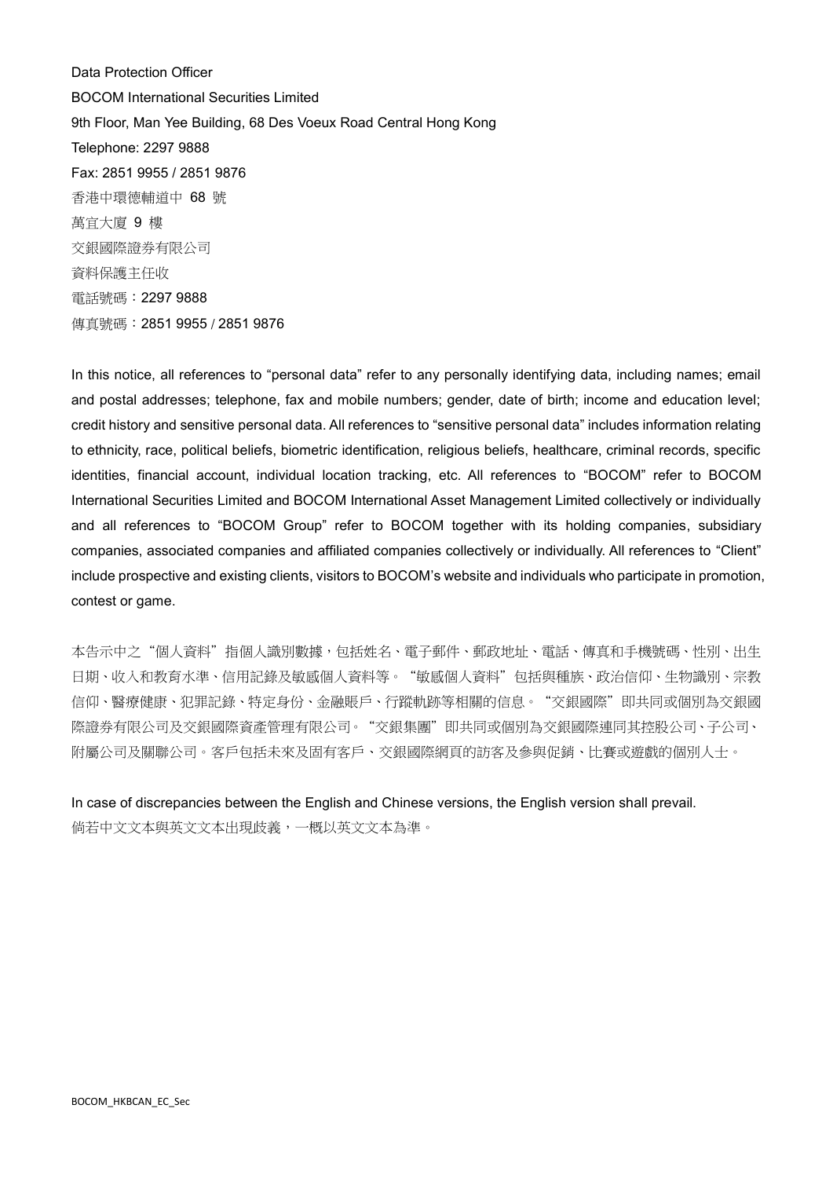Data Protection Officer BOCOM International Securities Limited 9th Floor, Man Yee Building, 68 Des Voeux Road Central Hong Kong Telephone: 2297 9888 Fax: 2851 9955 / 2851 9876 香港中環德輔道中 68 號 萬宜大廈 9 樓 交銀國際證券有限公司 資料保護主任收 電話號碼:2297 9888 傳真號碼:2851 9955 / 2851 9876

In this notice, all references to "personal data" refer to any personally identifying data, including names; email and postal addresses; telephone, fax and mobile numbers; gender, date of birth; income and education level; credit history and sensitive personal data. All references to "sensitive personal data" includes information relating to ethnicity, race, political beliefs, biometric identification, religious beliefs, healthcare, criminal records, specific identities, financial account, individual location tracking, etc. All references to "BOCOM" refer to BOCOM International Securities Limited and BOCOM International Asset Management Limited collectively or individually and all references to "BOCOM Group" refer to BOCOM together with its holding companies, subsidiary companies, associated companies and affiliated companies collectively or individually. All references to "Client" include prospective and existing clients, visitors to BOCOM's website and individuals who participate in promotion, contest or game.

本告示中之"個人資料"指個人識別數據,包括姓名、電子郵件、郵政地址、電話、傳真和手機號碼、性別、出生 日期、收入和教育水準、信用記錄及敏感個人資料等。"敏感個人資料"包括與種族、政治信仰、生物識別、宗教 信仰、醫療健康、犯罪記錄、特定身份、金融賬戶、行蹤軌跡等相關的信息。"交銀國際"即共同或個別為交銀國 際證券有限公司及交銀國際資產管理有限公司。"交銀集團"即共同或個別為交銀國際連同其控股公司、子公司、 附屬公司及關聯公司。客戶包括未來及固有客戶、交銀國際網頁的訪客及參與促銷、比賽或遊戲的個別人士。

In case of discrepancies between the English and Chinese versions, the English version shall prevail. 倘若中文文本與英文文本出現歧義,一概以英文文本為準。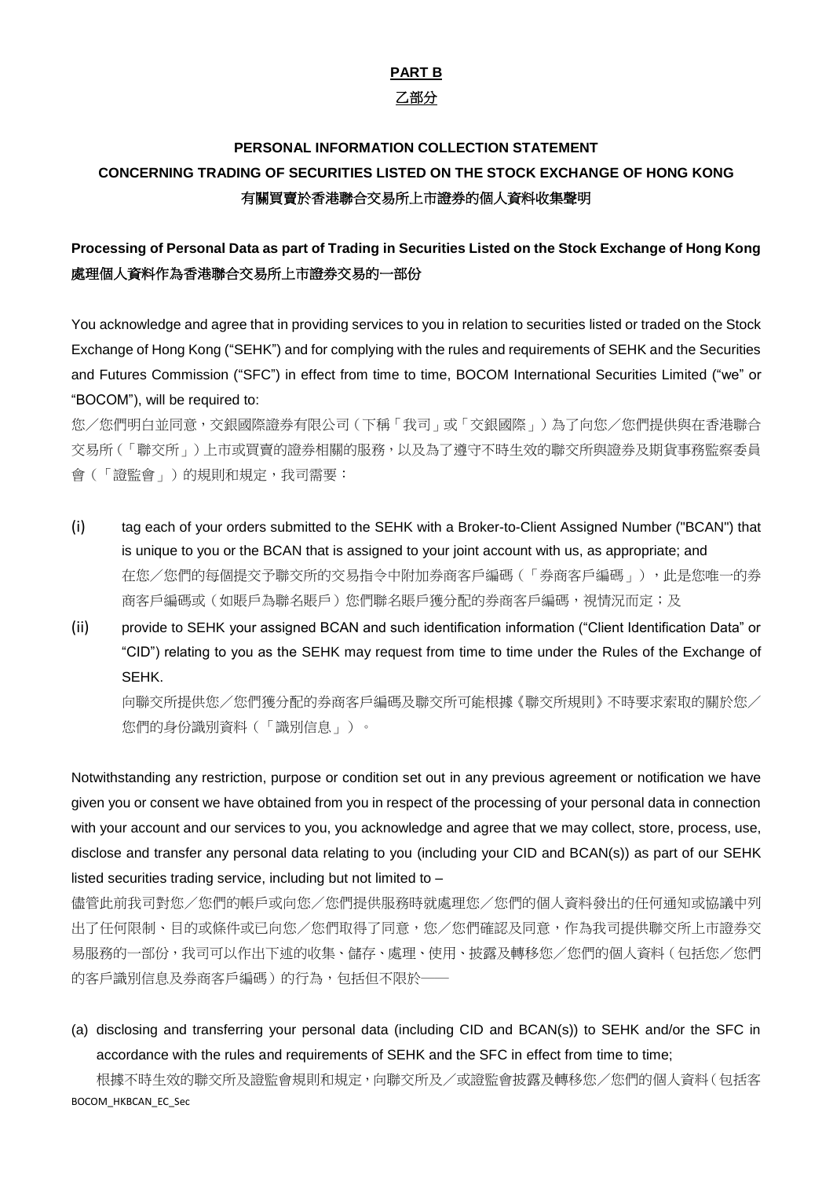### **PART B** 乙部分

# **PERSONAL INFORMATION COLLECTION STATEMENT CONCERNING TRADING OF SECURITIES LISTED ON THE STOCK EXCHANGE OF HONG KONG** 有關買賣於香港聯合交易所上市證券的個人資料收集聲明

### **Processing of Personal Data as part of Trading in Securities Listed on the Stock Exchange of Hong Kong** 處理個人資料作為香港聯合交易所上市證券交易的一部份

You acknowledge and agree that in providing services to you in relation to securities listed or traded on the Stock Exchange of Hong Kong ("SEHK") and for complying with the rules and requirements of SEHK and the Securities and Futures Commission ("SFC") in effect from time to time, BOCOM International Securities Limited ("we" or "BOCOM"), will be required to:

您/您們明白並同意,交銀國際證券有限公司(下稱「我司」或「交銀國際」)為了向您/您們提供與在香港聯合 交易所(「聯交所」)上市或買賣的證券相關的服務,以及為了遵守不時生效的聯交所與證券及期貨事務監察委員 會(「證監會」)的規則和規定,我司需要:

- (i) tag each of your orders submitted to the SEHK with a Broker-to-Client Assigned Number ("BCAN") that is unique to you or the BCAN that is assigned to your joint account with us, as appropriate; and 在您/您們的每個提交予聯交所的交易指令中附加券商客戶編碼(「券商客戶編碼」),此是您唯一的券 商客戶編碼或(如賬戶為聯名賬戶物名賬戶獲分配的券商客戶編碼,視情況而定;及
- (ii) provide to SEHK your assigned BCAN and such identification information ("Client Identification Data" or "CID") relating to you as the SEHK may request from time to time under the Rules of the Exchange of SEHK.

向聯交所提供您/您們獲分配的券商客戶編碼及聯交所可能根據《聯交所規則》不時要求索取的關於您/ 您們的身份識別資料(「識別信息」)。

Notwithstanding any restriction, purpose or condition set out in any previous agreement or notification we have given you or consent we have obtained from you in respect of the processing of your personal data in connection with your account and our services to you, you acknowledge and agree that we may collect, store, process, use, disclose and transfer any personal data relating to you (including your CID and BCAN(s)) as part of our SEHK listed securities trading service, including but not limited to –

儘管此前我司對您/您們的帳戶或向您/您們提供服務時就處理您/您們的個人資料發出的任何通知或協議中列 出了任何限制、目的或條件或已向您/您們取得了同意,您/您們確認及同意,作為我司提供聯交所上市證券交 易服務的一部份,我司可以作出下述的收集、儲存、處理、使用、披露及轉移您/您們的個人資料(包括您/您們 的客戶識別信息及券商客戶編碼)的行為,包括但不限於-

(a) disclosing and transferring your personal data (including CID and BCAN(s)) to SEHK and/or the SFC in accordance with the rules and requirements of SEHK and the SFC in effect from time to time;

BOCOM\_HKBCAN\_EC\_Sec 根據不時生效的聯交所及證監會規則和規定,向聯交所及/或證監會披露及轉移您/您們的個人資料(包括客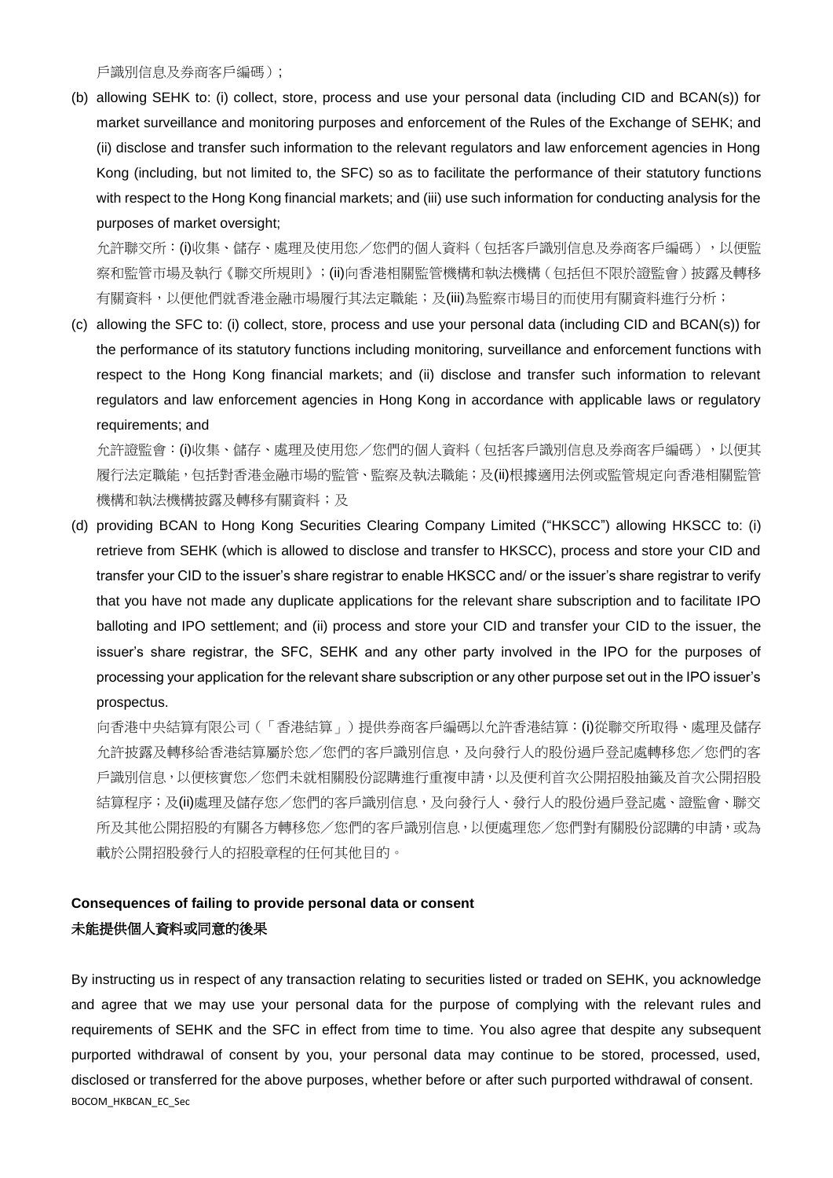戶識別信息及券商客戶編碼);

(b) allowing SEHK to: (i) collect, store, process and use your personal data (including CID and BCAN(s)) for market surveillance and monitoring purposes and enforcement of the Rules of the Exchange of SEHK; and (ii) disclose and transfer such information to the relevant regulators and law enforcement agencies in Hong Kong (including, but not limited to, the SFC) so as to facilitate the performance of their statutory functions with respect to the Hong Kong financial markets; and (iii) use such information for conducting analysis for the purposes of market oversight;

允許聯交所: (i)收集、儲存、處理及使用您/您們的個人資料(包括客戶識別信息及券商客戶編碼),以便監 察和監管市場及執行《聯交所規則》;(ii)向香港相關監管機構和執法機構(包括但不限於證監會)披露及轉移 有關資料,以便他們就香港金融市場履行其法定職能;及(iii)為監察市場目的而使用有關資料進行分析;

(c) allowing the SFC to: (i) collect, store, process and use your personal data (including CID and BCAN(s)) for the performance of its statutory functions including monitoring, surveillance and enforcement functions with respect to the Hong Kong financial markets; and (ii) disclose and transfer such information to relevant regulators and law enforcement agencies in Hong Kong in accordance with applicable laws or regulatory requirements; and

允許證監會: (i)收集、儲存、處理及使用您/您們的個人資料(包括客戶識別信息及券商客戶編碼),以便其 履行法定職能,包括對香港金融市場的監管、監察及執法職能;及(ii)根據適用法例或監管規定向香港相關監管 機構和執法機構披露及轉移有關資料;及

(d) providing BCAN to Hong Kong Securities Clearing Company Limited ("HKSCC") allowing HKSCC to: (i) retrieve from SEHK (which is allowed to disclose and transfer to HKSCC), process and store your CID and transfer your CID to the issuer's share registrar to enable HKSCC and/ or the issuer's share registrar to verify that you have not made any duplicate applications for the relevant share subscription and to facilitate IPO balloting and IPO settlement; and (ii) process and store your CID and transfer your CID to the issuer, the issuer's share registrar, the SFC, SEHK and any other party involved in the IPO for the purposes of processing your application for the relevant share subscription or any other purpose set out in the IPO issuer's prospectus.

向香港中央結算有限公司(「香港結算」)提供券商客戶編碼以允許香港結算:(i)從聯交所取得、處理及儲存 允許披露及轉移給香港結算屬於您/您們的客戶識別信息,及向發行人的股份過戶登記處轉移您/您們的客 戶識別信息,以便核實您/您們未就相關股份認購進行重複申請,以及便利首次公開招股抽籤及首次公開招股 結算程序;及(ii)處理及儲存您/您們的客戶識別信息,及向發行人、發行人的股份過戶登記處、證監會、聯交 所及其他公開招股的有關各方轉移您/您們的客戶識別信息,以便處理您/您們對有關股份認購的申請,或為 載於公開招股發行人的招股章程的任何其他目的。

### **Consequences of failing to provide personal data or consent** 未能提供個人資料或同意的後果

BOCOM\_HKBCAN\_EC\_Sec By instructing us in respect of any transaction relating to securities listed or traded on SEHK, you acknowledge and agree that we may use your personal data for the purpose of complying with the relevant rules and requirements of SEHK and the SFC in effect from time to time. You also agree that despite any subsequent purported withdrawal of consent by you, your personal data may continue to be stored, processed, used, disclosed or transferred for the above purposes, whether before or after such purported withdrawal of consent.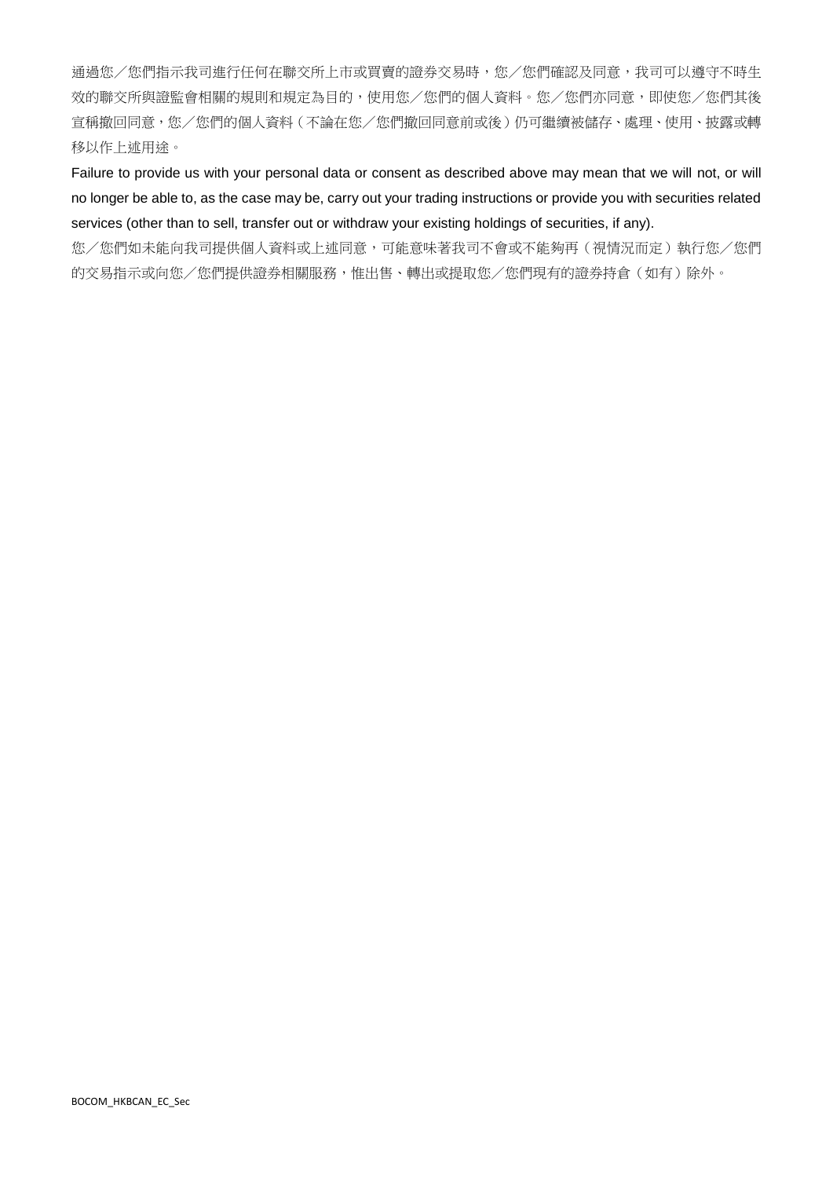通過您/您們指示我司進行任何在聯交所上市或買賣的證券交易時,您/您們確認及同意,我司可以遵守不時生 效的聯交所與證監會相關的規則和規定為目的,使用您/您們的個人資料。您/您們亦同意,即使您/您們其後 宣稱撤回同意,您/您們的個人資料(不論在您/您們撤回同意前或後)仍可繼續被儲存、處理、使用、披露或轉 移以作上述用途。

Failure to provide us with your personal data or consent as described above may mean that we will not, or will no longer be able to, as the case may be, carry out your trading instructions or provide you with securities related services (other than to sell, transfer out or withdraw your existing holdings of securities, if any).

您/您們如未能向我司提供個人資料或上述同意,可能意味著我司不會或不能夠再(視情況而定)執行您/您們 的交易指示或向您/您們提供證券相關服務,惟出售、轉出或提取您/您們現有的證券持倉(如有)除外。